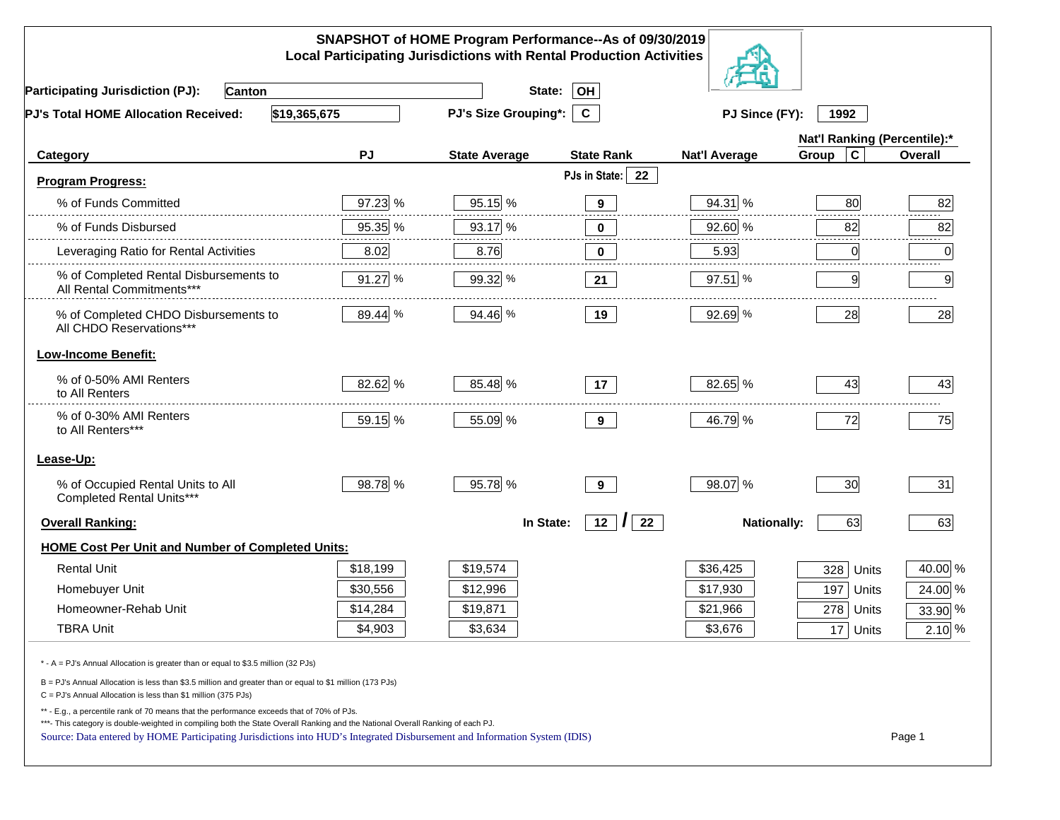|                                                                                                                                                                                                                                                                                                                                                          |          | SNAPSHOT of HOME Program Performance--As of 09/30/2019<br><b>Local Participating Jurisdictions with Rental Production Activities</b> |                           |                      |                              |                |
|----------------------------------------------------------------------------------------------------------------------------------------------------------------------------------------------------------------------------------------------------------------------------------------------------------------------------------------------------------|----------|--------------------------------------------------------------------------------------------------------------------------------------|---------------------------|----------------------|------------------------------|----------------|
| <b>Participating Jurisdiction (PJ):</b><br><b>Canton</b>                                                                                                                                                                                                                                                                                                 |          | State:                                                                                                                               | OH                        |                      |                              |                |
| \$19,365,675<br>PJ's Total HOME Allocation Received:                                                                                                                                                                                                                                                                                                     |          | PJ's Size Grouping*:                                                                                                                 | $\mathbf{C}$              | PJ Since (FY):       | 1992                         |                |
|                                                                                                                                                                                                                                                                                                                                                          |          |                                                                                                                                      |                           |                      | Nat'l Ranking (Percentile):* |                |
| Category                                                                                                                                                                                                                                                                                                                                                 | PJ       | <b>State Average</b>                                                                                                                 | <b>State Rank</b>         | <b>Nat'l Average</b> | $\mathbf c$<br>Group         | <b>Overall</b> |
| <b>Program Progress:</b>                                                                                                                                                                                                                                                                                                                                 |          |                                                                                                                                      | PJs in State:<br>22       |                      |                              |                |
| % of Funds Committed                                                                                                                                                                                                                                                                                                                                     | 97.23 %  | 95.15 %                                                                                                                              | $9^{\circ}$               | 94.31 %              | 80                           | 82             |
| % of Funds Disbursed                                                                                                                                                                                                                                                                                                                                     | 95.35 %  | 93.17 %                                                                                                                              | 0                         | 92.60 %              | 82                           | 82             |
| Leveraging Ratio for Rental Activities                                                                                                                                                                                                                                                                                                                   | 8.02     | 8.76                                                                                                                                 | 0                         | 5.93                 | 0                            | 0              |
| % of Completed Rental Disbursements to<br>All Rental Commitments***                                                                                                                                                                                                                                                                                      | 91.27 %  | 99.32 %                                                                                                                              | 21                        | $97.51$ %            | 9                            | 9              |
| % of Completed CHDO Disbursements to<br>All CHDO Reservations***                                                                                                                                                                                                                                                                                         | 89.44 %  | 94.46 %                                                                                                                              | 19                        | 92.69 %              | 28                           | 28             |
| <b>Low-Income Benefit:</b>                                                                                                                                                                                                                                                                                                                               |          |                                                                                                                                      |                           |                      |                              |                |
| % of 0-50% AMI Renters<br>to All Renters                                                                                                                                                                                                                                                                                                                 | 82.62 %  | 85.48 %                                                                                                                              | 17                        | 82.65 %              | 43                           | 43             |
| % of 0-30% AMI Renters<br>to All Renters***                                                                                                                                                                                                                                                                                                              | 59.15 %  | 55.09 %                                                                                                                              | 9                         | 46.79 %              | 72                           | 75             |
| Lease-Up:                                                                                                                                                                                                                                                                                                                                                |          |                                                                                                                                      |                           |                      |                              |                |
| % of Occupied Rental Units to All<br>Completed Rental Units***                                                                                                                                                                                                                                                                                           | 98.78 %  | 95.78 %                                                                                                                              | 9                         | 98.07 %              | 30                           | 31             |
| <b>Overall Ranking:</b>                                                                                                                                                                                                                                                                                                                                  |          | In State:                                                                                                                            | $12 \mid \mid \mid$<br>22 | <b>Nationally:</b>   | 63                           | 63             |
| <b>HOME Cost Per Unit and Number of Completed Units:</b>                                                                                                                                                                                                                                                                                                 |          |                                                                                                                                      |                           |                      |                              |                |
| <b>Rental Unit</b>                                                                                                                                                                                                                                                                                                                                       | \$18,199 | \$19,574                                                                                                                             |                           | \$36,425             | 328<br>Units                 | 40.00 %        |
| Homebuyer Unit                                                                                                                                                                                                                                                                                                                                           | \$30,556 | \$12,996                                                                                                                             |                           | \$17,930             | 197<br>Units                 | 24.00 %        |
| Homeowner-Rehab Unit                                                                                                                                                                                                                                                                                                                                     | \$14,284 | \$19,871                                                                                                                             |                           | \$21,966             | 278<br>Units                 | 33.90 %        |
| <b>TBRA Unit</b>                                                                                                                                                                                                                                                                                                                                         | \$4,903  | \$3,634                                                                                                                              |                           | \$3,676              | 17 Units                     | $2.10\%$       |
| * - A = PJ's Annual Allocation is greater than or equal to \$3.5 million (32 PJs)                                                                                                                                                                                                                                                                        |          |                                                                                                                                      |                           |                      |                              |                |
| B = PJ's Annual Allocation is less than \$3.5 million and greater than or equal to \$1 million (173 PJs)<br>C = PJ's Annual Allocation is less than \$1 million (375 PJs)                                                                                                                                                                                |          |                                                                                                                                      |                           |                      |                              |                |
| ** - E.g., a percentile rank of 70 means that the performance exceeds that of 70% of PJs.<br>***- This category is double-weighted in compiling both the State Overall Ranking and the National Overall Ranking of each PJ.<br>Source: Data entered by HOME Participating Jurisdictions into HUD's Integrated Disbursement and Information System (IDIS) |          |                                                                                                                                      |                           |                      |                              | Page 1         |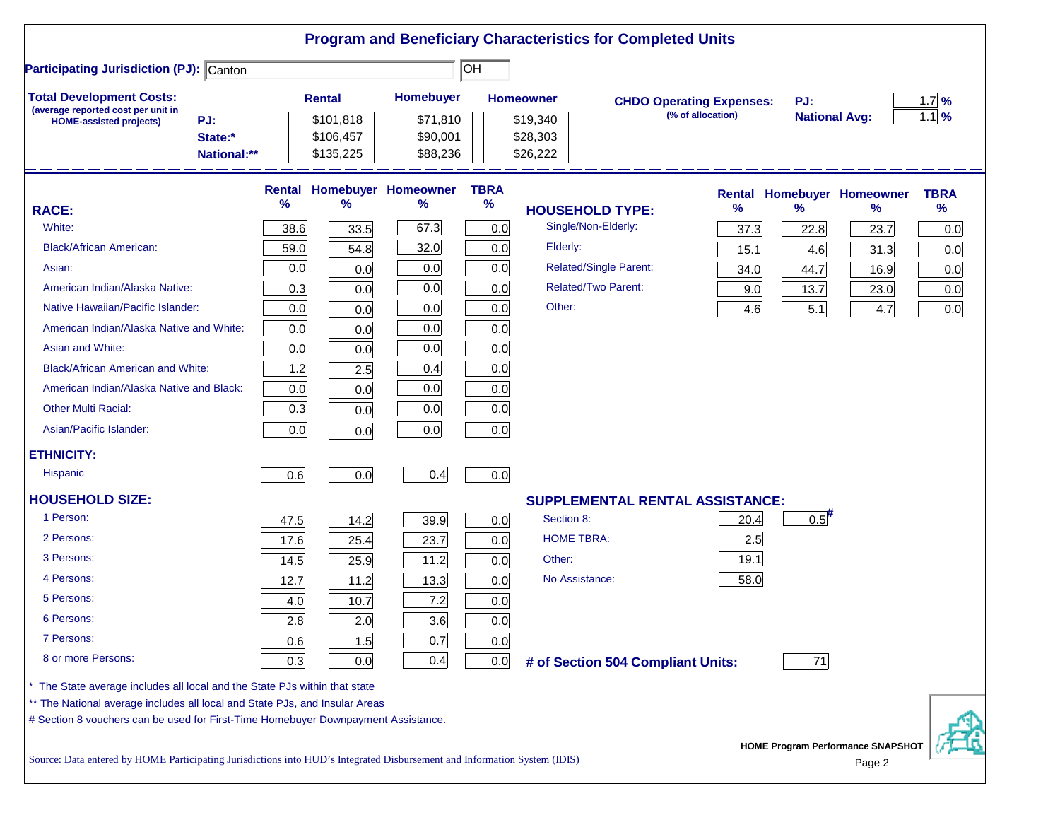|                                                                                                                                                                                                                                                |             |                                     |                                                   |                            |                                  | <b>Program and Beneficiary Characteristics for Completed Units</b> |                                 |                      |                                                    |                            |
|------------------------------------------------------------------------------------------------------------------------------------------------------------------------------------------------------------------------------------------------|-------------|-------------------------------------|---------------------------------------------------|----------------------------|----------------------------------|--------------------------------------------------------------------|---------------------------------|----------------------|----------------------------------------------------|----------------------------|
| <b>Participating Jurisdiction (PJ): Canton</b>                                                                                                                                                                                                 |             |                                     |                                                   | lон                        |                                  |                                                                    |                                 |                      |                                                    |                            |
| <b>Total Development Costs:</b><br>(average reported cost per unit in                                                                                                                                                                          |             | <b>Rental</b>                       | Homebuyer                                         |                            | <b>Homeowner</b>                 |                                                                    | <b>CHDO Operating Expenses:</b> | PJ:                  |                                                    | $1.7\%$                    |
| PJ:<br><b>HOME-assisted projects)</b><br>State:*<br>National:**                                                                                                                                                                                |             | \$101,818<br>\$106,457<br>\$135,225 | \$71,810<br>\$90,001<br>\$88,236                  |                            | \$19,340<br>\$28,303<br>\$26,222 |                                                                    | (% of allocation)               | <b>National Avg:</b> |                                                    | $1.1$ %                    |
| <b>RACE:</b><br>White:                                                                                                                                                                                                                         | %<br>38.6   | $\%$<br>33.5                        | <b>Rental Homebuyer Homeowner</b><br>$\%$<br>67.3 | <b>TBRA</b><br>$\%$<br>0.0 |                                  | <b>HOUSEHOLD TYPE:</b><br>Single/Non-Elderly:                      | %<br>37.3                       | %<br>22.8            | <b>Rental Homebuyer Homeowner</b><br>%<br>23.7     | <b>TBRA</b><br>$\%$<br>0.0 |
| <b>Black/African American:</b><br>Asian:                                                                                                                                                                                                       | 59.0<br>0.0 | 54.8<br>0.0                         | 32.0<br>0.0                                       | 0.0<br>0.0                 | Elderly:                         | Related/Single Parent:                                             | 15.1<br>34.0                    | 4.6<br>44.7          | 31.3<br>16.9                                       | 0.0<br>0.0                 |
| American Indian/Alaska Native:<br>Native Hawaiian/Pacific Islander:                                                                                                                                                                            | 0.3<br>0.0  | 0.0<br>0.0                          | 0.0<br>0.0                                        | 0.0<br>0.0                 | Other:                           | <b>Related/Two Parent:</b>                                         | 9.0<br>4.6                      | 13.7<br>5.1          | 23.0<br>4.7                                        | 0.0<br>0.0                 |
| American Indian/Alaska Native and White:<br>Asian and White:                                                                                                                                                                                   | 0.0<br>0.0  | 0.0<br>0.0                          | 0.0<br>0.0                                        | 0.0<br>0.0                 |                                  |                                                                    |                                 |                      |                                                    |                            |
| <b>Black/African American and White:</b><br>American Indian/Alaska Native and Black:                                                                                                                                                           | 1.2<br>0.0  | 2.5<br>0.0                          | 0.4<br>0.0                                        | 0.0<br>0.0                 |                                  |                                                                    |                                 |                      |                                                    |                            |
| <b>Other Multi Racial:</b><br>Asian/Pacific Islander:                                                                                                                                                                                          | 0.3<br>0.0  | 0.0<br>0.0                          | 0.0<br>0.0                                        | 0.0<br>0.0                 |                                  |                                                                    |                                 |                      |                                                    |                            |
| <b>ETHNICITY:</b><br><b>Hispanic</b>                                                                                                                                                                                                           | 0.6         | 0.0                                 | 0.4                                               | 0.0                        |                                  |                                                                    |                                 |                      |                                                    |                            |
| <b>HOUSEHOLD SIZE:</b>                                                                                                                                                                                                                         |             |                                     |                                                   |                            |                                  | <b>SUPPLEMENTAL RENTAL ASSISTANCE:</b>                             |                                 |                      |                                                    |                            |
| 1 Person:                                                                                                                                                                                                                                      | 47.5        | 14.2                                | 39.9                                              | 0.0                        | Section 8:                       |                                                                    | 20.4                            | $0.5$ <sup>#</sup>   |                                                    |                            |
| 2 Persons:                                                                                                                                                                                                                                     | 17.6        | 25.4                                | 23.7                                              | 0.0                        | <b>HOME TBRA:</b>                |                                                                    | 2.5                             |                      |                                                    |                            |
| 3 Persons:                                                                                                                                                                                                                                     | 14.5        | 25.9                                | 11.2                                              | 0.0                        | Other:                           |                                                                    | 19.1                            |                      |                                                    |                            |
| 4 Persons:                                                                                                                                                                                                                                     | 12.7        | 11.2                                | 13.3                                              | 0.0                        |                                  | No Assistance:                                                     | 58.0                            |                      |                                                    |                            |
| 5 Persons:                                                                                                                                                                                                                                     | 4.0         | 10.7                                | 7.2                                               | 0.0                        |                                  |                                                                    |                                 |                      |                                                    |                            |
| 6 Persons:                                                                                                                                                                                                                                     | 2.8         | 2.0                                 | 3.6                                               | 0.0                        |                                  |                                                                    |                                 |                      |                                                    |                            |
| 7 Persons:                                                                                                                                                                                                                                     | 0.6         | 1.5                                 | 0.7                                               | 0.0                        |                                  |                                                                    |                                 |                      |                                                    |                            |
| 8 or more Persons:                                                                                                                                                                                                                             | 0.3         | 0.0                                 | 0.4                                               | 0.0                        |                                  | # of Section 504 Compliant Units:                                  |                                 | 71                   |                                                    |                            |
| * The State average includes all local and the State PJs within that state<br>** The National average includes all local and State PJs, and Insular Areas<br># Section 8 vouchers can be used for First-Time Homebuyer Downpayment Assistance. |             |                                     |                                                   |                            |                                  |                                                                    |                                 |                      |                                                    |                            |
| Source: Data entered by HOME Participating Jurisdictions into HUD's Integrated Disbursement and Information System (IDIS)                                                                                                                      |             |                                     |                                                   |                            |                                  |                                                                    |                                 |                      | <b>HOME Program Performance SNAPSHOT</b><br>Page 2 |                            |